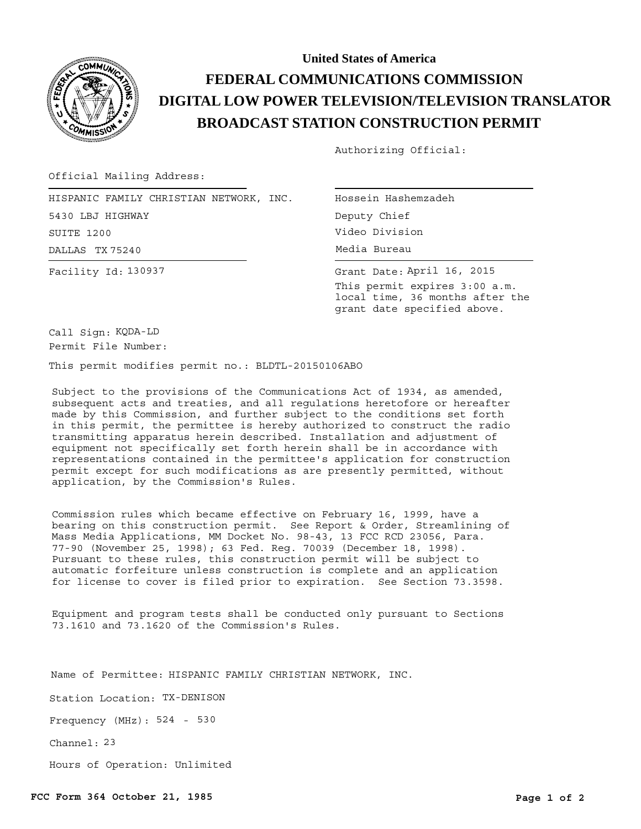

## **United States of America FEDERAL COMMUNICATIONS COMMISSION BROADCAST STATION CONSTRUCTION PERMIT DIGITAL LOW POWER TELEVISION/TELEVISION TRANSLATOR**

Authorizing Official:

Official Mailing Address:

DALLAS TX 75240 Facility Id: 130937 HISPANIC FAMILY CHRISTIAN NETWORK, INC. 5430 LBJ HIGHWAY SUITE 1200

Hossein Hashemzadeh

Deputy Chief Video Division

Media Bureau

Grant Date: April 16, 2015 This permit expires 3:00 a.m. local time, 36 months after the grant date specified above.

Permit File Number: Call Sign: KQDA-LD

This permit modifies permit no.: BLDTL-20150106ABO

Subject to the provisions of the Communications Act of 1934, as amended, subsequent acts and treaties, and all regulations heretofore or hereafter made by this Commission, and further subject to the conditions set forth in this permit, the permittee is hereby authorized to construct the radio transmitting apparatus herein described. Installation and adjustment of equipment not specifically set forth herein shall be in accordance with representations contained in the permittee's application for construction permit except for such modifications as are presently permitted, without application, by the Commission's Rules.

Commission rules which became effective on February 16, 1999, have a bearing on this construction permit. See Report & Order, Streamlining of Mass Media Applications, MM Docket No. 98-43, 13 FCC RCD 23056, Para. 77-90 (November 25, 1998); 63 Fed. Reg. 70039 (December 18, 1998). Pursuant to these rules, this construction permit will be subject to automatic forfeiture unless construction is complete and an application for license to cover is filed prior to expiration. See Section 73.3598.

Equipment and program tests shall be conducted only pursuant to Sections 73.1610 and 73.1620 of the Commission's Rules.

Name of Permittee: HISPANIC FAMILY CHRISTIAN NETWORK, INC.

Station Location: TX-DENISON

Frequency (MHz): 524 - 530

Channel: 23

Hours of Operation: Unlimited